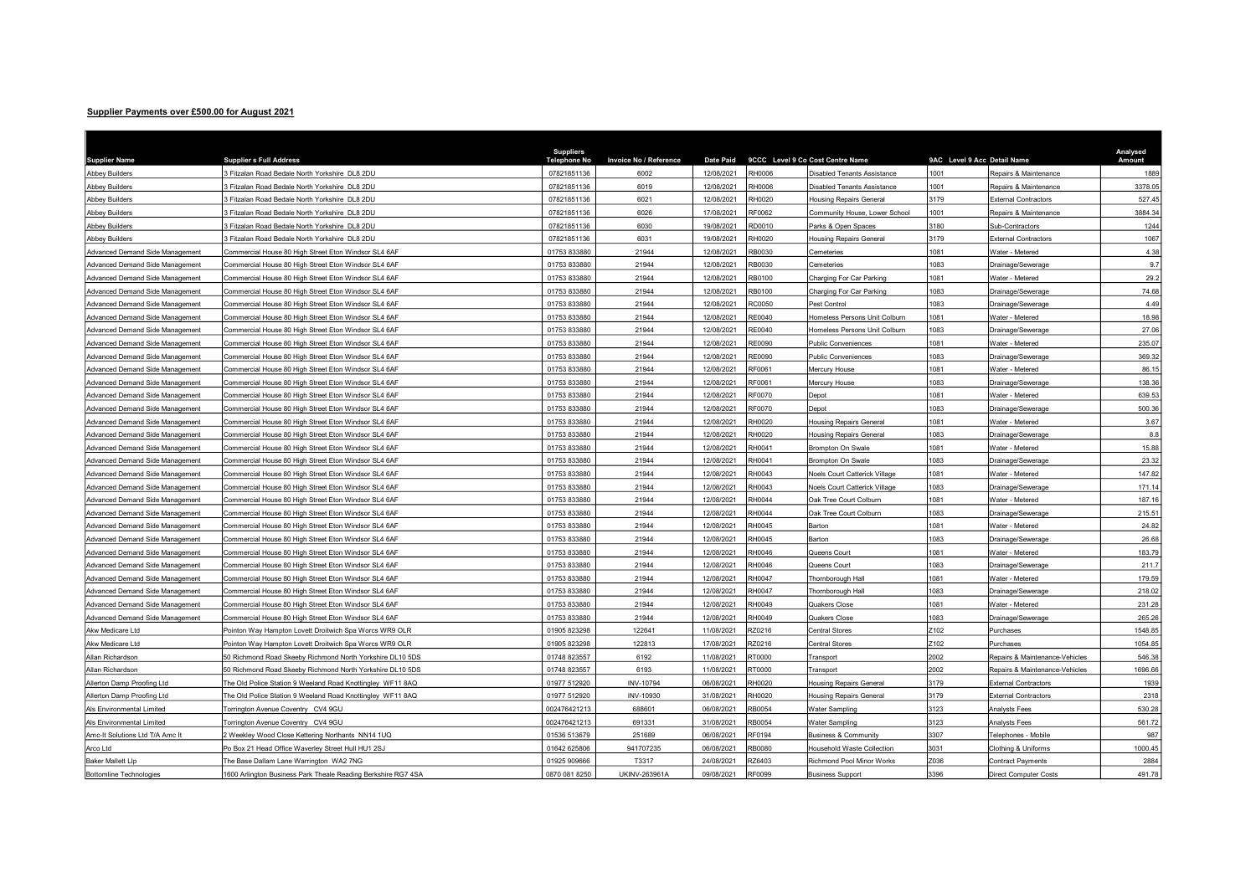## Supplier Payments over £500.00 for August 2021

| <b>Supplier Name</b>            | <b>Supplier s Full Address</b>                                | <b>Suppliers</b><br><b>Telephone No</b> | <b>Invoice No / Reference</b> | <b>Date Paid</b> | 9CCC Level 9 Co Cost Centre Name |                                   | 9AC Level 9 Acc Detail Name |                                | Analysed<br>Amount |
|---------------------------------|---------------------------------------------------------------|-----------------------------------------|-------------------------------|------------------|----------------------------------|-----------------------------------|-----------------------------|--------------------------------|--------------------|
| <b>Abbey Builders</b>           | Fitzalan Road Bedale North Yorkshire DL8 2DU                  | 07821851136                             | 6002                          | 12/08/2021       | 8000HR                           | Disabled Tenants Assistance       | 1001                        | Repairs & Maintenance          | 1889               |
| Abbey Builders                  | Fitzalan Road Bedale North Yorkshire DL8 2DU                  | 07821851136                             | 6019                          | 12/08/2021       | 8000H                            | Disabled Tenants Assistance       | 1001                        | Repairs & Maintenance          | 3378.0             |
| <b>Abbey Builders</b>           | B Fitzalan Road Bedale North Yorkshire DL8 2DU                | 07821851136                             | 6021                          | 12/08/2021       | RH0020                           | <b>Housing Repairs General</b>    | 3179                        | <b>External Contractors</b>    | 527.4              |
| <b>Abbey Builders</b>           | B Fitzalan Road Bedale North Yorkshire DL8 2DU                | 07821851136                             | 6026                          | 17/08/2021       | RF0062                           | Community House, Lower School     | 1001                        | Repairs & Maintenance          | 3884.34            |
| <b>Abbey Builders</b>           | Fitzalan Road Bedale North Yorkshire DL8 2DU                  | 07821851136                             | 6030                          | 19/08/2021       | RD0010                           | Parks & Open Spaces               | 3180                        | Sub-Contractors                | 1244               |
| Abbey Builders                  | 3 Fitzalan Road Bedale North Yorkshire DL8 2DU                | 07821851136                             | 6031                          | 19/08/2021       | RH0020                           | Housing Repairs General           | 3179                        | <b>External Contractors</b>    | 1067               |
| Advanced Demand Side Management | Commercial House 80 High Street Eton Windsor SL4 6AF          | 01753 833880                            | 21944                         | 12/08/2021       | RB0030                           | Cemeteries                        | 1081                        | Water - Metered                | 4.38               |
| Advanced Demand Side Management | Commercial House 80 High Street Eton Windsor SL4 6AF          | 01753 833880                            | 21944                         | 12/08/2021       | RB0030                           | Cemeteries                        | 1083                        | Drainage/Sewerage              | 9.7                |
| Advanced Demand Side Management | Commercial House 80 High Street Eton Windsor SL4 6AF          | 01753 833880                            | 21944                         | 12/08/2021       | RB0100                           | Charging For Car Parking          | 1081                        | Water - Metered                | 29.2               |
| Advanced Demand Side Management | Commercial House 80 High Street Eton Windsor SL4 6AF          | 01753 833880                            | 21944                         | 12/08/2021       | <b>B0100</b>                     | Charging For Car Parking          | 1083                        | Drainage/Sewerage              | 74.68              |
| Advanced Demand Side Management | Commercial House 80 High Street Eton Windsor SL4 6AF          | 01753 833880                            | 21944                         | 12/08/2021       | <b>C0050</b>                     | Pest Control                      | 1083                        | Drainage/Sewerage              | 4.49               |
| Advanced Demand Side Management | Commercial House 80 High Street Eton Windsor SL4 6AF          | 01753 833880                            | 21944                         | 12/08/2021       | RE0040                           | Homeless Persons Unit Colburn     | 1081                        | Water - Metered                | 18.98              |
| Advanced Demand Side Management | Commercial House 80 High Street Eton Windsor SL4 6AF          | 01753 833880                            | 21944                         | 12/08/2021       | RE0040                           | Homeless Persons Unit Colburn     | 1083                        | Drainage/Sewerage              | 27.06              |
| Advanced Demand Side Management | Commercial House 80 High Street Eton Windsor SL4 6AF          | 01753 833880                            | 21944                         | 12/08/2021       | RE0090                           | <b>Public Conveniences</b>        | 1081                        | <b>Nater - Metered</b>         | 235.07             |
| Advanced Demand Side Management | Commercial House 80 High Street Eton Windsor SL4 6AF          | 01753 833880                            | 21944                         | 12/08/2021       | E0090                            | <b>Public Conveniences</b>        | 1083                        | Drainage/Sewerage              | 369.32             |
| Advanced Demand Side Management | Commercial House 80 High Street Eton Windsor SL4 6AF          | 01753 833880                            | 21944                         | 12/08/2021       | RF0061                           | Mercury House                     | 1081                        | Water - Metered                | 86.15              |
| Advanced Demand Side Management | Commercial House 80 High Street Eton Windsor SL4 6AF          | 01753 833880                            | 21944                         | 12/08/2021       | RF0061                           | Mercury House                     | 1083                        | Drainage/Sewerage              | 138.36             |
| Advanced Demand Side Management | Commercial House 80 High Street Eton Windsor SL4 6AF          | 01753 833880                            | 21944                         | 12/08/2021       | F0070                            | Depot                             | 1081                        | Water - Metered                | 639.53             |
| Advanced Demand Side Management | Commercial House 80 High Street Eton Windsor SL4 6AF          | 01753 833880                            | 21944                         | 12/08/2021       | RF0070                           | Depot                             | 1083                        | Drainage/Sewerage              | 500.36             |
| Advanced Demand Side Management | Commercial House 80 High Street Eton Windsor SL4 6AF          | 01753 833880                            | 21944                         | 12/08/2021       | H0020                            | <b>Housing Repairs General</b>    | 1081                        | Water - Metered                | 3.67               |
| Advanced Demand Side Management | Commercial House 80 High Street Eton Windsor SL4 6AF          | 01753 833880                            | 21944                         | 12/08/2021       | H0020                            | <b>Housing Repairs General</b>    | 083                         | Drainage/Sewerage              | 8.8                |
| Advanced Demand Side Management | Commercial House 80 High Street Eton Windsor SL4 6AF          | 01753 833880                            | 21944                         | 12/08/2021       | H0041                            | <b>Brompton On Swale</b>          | 1081                        | Water - Metered                | 15.88              |
| Advanced Demand Side Management | Commercial House 80 High Street Eton Windsor SL4 6AF          | 01753 833880                            | 21944                         | 12/08/2021       | RH0041                           | Brompton On Swale                 | 1083                        | Drainage/Sewerage              | 23.32              |
| Advanced Demand Side Management | Commercial House 80 High Street Eton Windsor SL4 6AF          | 01753 833880                            | 21944                         | 12/08/2021       | RH0043                           | Noels Court Catterick Village     | 1081                        | Water - Metered                | 147.82             |
| Advanced Demand Side Management | Commercial House 80 High Street Eton Windsor SL4 6AF          | 01753 833880                            | 21944                         | 12/08/2021       | RH0043                           | Noels Court Catterick Village     | 1083                        | Drainage/Sewerage              | 171.14             |
| Advanced Demand Side Management | Commercial House 80 High Street Eton Windsor SL4 6AF          | 01753 833880                            | 21944                         | 12/08/2021       | RH0044                           | Oak Tree Court Colburn            | 1081                        | Water - Metered                | 187.16             |
| Advanced Demand Side Management | Commercial House 80 High Street Eton Windsor SL4 6AF          | 01753 833880                            | 21944                         | 12/08/2021       | RH0044                           | Oak Tree Court Colburn            | 1083                        | Orainage/Sewerage              | 215.51             |
| Advanced Demand Side Management | Commercial House 80 High Street Eton Windsor SL4 6AF          | 01753 833880                            | 21944                         | 12/08/2021       | H0045                            | Barton                            | 1081                        | <b>Nater - Metered</b>         | 24.82              |
| Advanced Demand Side Management | Commercial House 80 High Street Eton Windsor SL4 6AF          | 01753 833880                            | 21944                         | 12/08/2021       | H0045                            | <b>Barton</b>                     | 083                         | <b>Orainage/Sewerage</b>       | 26.68              |
| Advanced Demand Side Management | Commercial House 80 High Street Eton Windsor SL4 6AF          | 01753 833880                            | 21944                         | 12/08/2021       | RH0046                           | Queens Court                      | 1081                        | <b>Nater - Metered</b>         | 183.79             |
| Advanced Demand Side Management | Commercial House 80 High Street Eton Windsor SL4 6AF          | 01753 833880                            | 21944                         | 12/08/2021       | H0046                            | Queens Court                      | 083                         | Orainage/Sewerage              | 211.7              |
| Advanced Demand Side Management | Commercial House 80 High Street Eton Windsor SL4 6AF          | 01753 833880                            | 21944                         | 12/08/2021       | H0047                            | Thornborough Hall                 | 1081                        | <b>Nater - Metered</b>         | 179.59             |
| Advanced Demand Side Management | Commercial House 80 High Street Eton Windsor SL4 6AF          | 01753 833880                            | 21944                         | 12/08/2021       | H0047                            | hornborough Hall                  | 1083                        | Orainage/Sewerage              | 218.02             |
| Advanced Demand Side Management | Commercial House 80 High Street Eton Windsor SL4 6AF          | 01753 833880                            | 21944                         | 12/08/2021       | RH0049                           | Quakers Close                     | 1081                        | <b>Nater - Metered</b>         | 231.28             |
| Advanced Demand Side Management | Commercial House 80 High Street Eton Windsor SL4 6AF          | 01753 833880                            | 21944                         | 12/08/2021       | RH0049                           | Quakers Close                     | 083                         | Drainage/Sewerage              | 265.26             |
| Akw Medicare Ltd                | Pointon Way Hampton Lovett Droitwich Spa Worcs WR9 OLR        | 01905 823298                            | 122641                        | 11/08/2021       | Z0216                            | Central Stores                    | 102                         | Purchases                      | 1548.85            |
| Akw Medicare Ltd                | Pointon Way Hampton Lovett Droitwich Spa Worcs WR9 OLR        | 01905 823298                            | 122813                        | 17/08/2021       | Z0216                            | Central Stores                    | 2102                        | Purchases                      | 1054.85            |
| Allan Richardson                | 50 Richmond Road Skeeby Richmond North Yorkshire DL10 5DS     | 01748 823557                            | 6192                          | 11/08/2021       | 0000TS                           | Transport                         | 2002                        | Repairs & Maintenance-Vehicles | 546.38             |
| Allan Richardson                | 50 Richmond Road Skeeby Richmond North Yorkshire DL10 5DS     | 01748 823557                            | 6193                          | 11/08/2021       | 0000T                            | Transport                         | 2002                        | Repairs & Maintenance-Vehicles | 1696.66            |
| Allerton Damp Proofing Ltd      | The Old Police Station 9 Weeland Road Knottingley WF11 8AQ    | 01977 512920                            | INV-10794                     | 06/08/2021       | RH0020                           | <b>Housing Repairs General</b>    | 3179                        | <b>External Contractors</b>    | 1939               |
| Allerton Damp Proofing Ltd      | The Old Police Station 9 Weeland Road Knottingley WF11 8AQ    | 01977 512920                            | INV-10930                     | 31/08/2021       | RH0020                           | <b>Housing Repairs General</b>    | 3179                        | <b>External Contractors</b>    | 2318               |
| Als Environmental Limited       | Torrington Avenue Coventry CV4 9GU                            | 002476421213                            | 688601                        | 06/08/2021       | <b>B0054</b>                     | Water Sampling                    | 3123                        | Analysts Fees                  | 530.28             |
| Als Environmental Limited       | Torrington Avenue Coventry CV4 9GU                            | 002476421213                            | 691331                        | 31/08/2021       | <b>B0054</b>                     | Water Sampling                    | 3123                        | Analysts Fees                  | 561.72             |
| Amc-It Solutions Ltd T/A Amc It | 2 Weekley Wood Close Kettering Northants NN14 1UQ             | 01536 513679                            | 251689                        | 06/08/2021       | RF0194                           | <b>Business &amp; Community</b>   | 3307                        | elephones - Mobile             | 987                |
| Arco Ltd                        | Po Box 21 Head Office Waverley Street Hull HU1 2SJ            | 01642 625806                            | 941707235                     | 06/08/2021       | <b>B0080</b>                     | <b>Household Waste Collection</b> | 3031                        | Clothing & Uniforms            | 1000.45            |
| <b>Baker Mallett Lip</b>        | The Base Dallam Lane Warrington WA2 7NG                       | 01925 909666                            | T3317                         | 24/08/2021       | Z6403                            | Richmond Pool Minor Works         | 2036                        | Contract Payments              | 2884               |
| <b>Bottomline Technologies</b>  | 1600 Arlington Business Park Theale Reading Berkshire RG7 4SA | 0870 081 8250                           | UKINV-263961A                 | 09/08/2021       | RF0099                           | <b>Business Support</b>           | 3396                        | <b>Direct Computer Costs</b>   | 491.78             |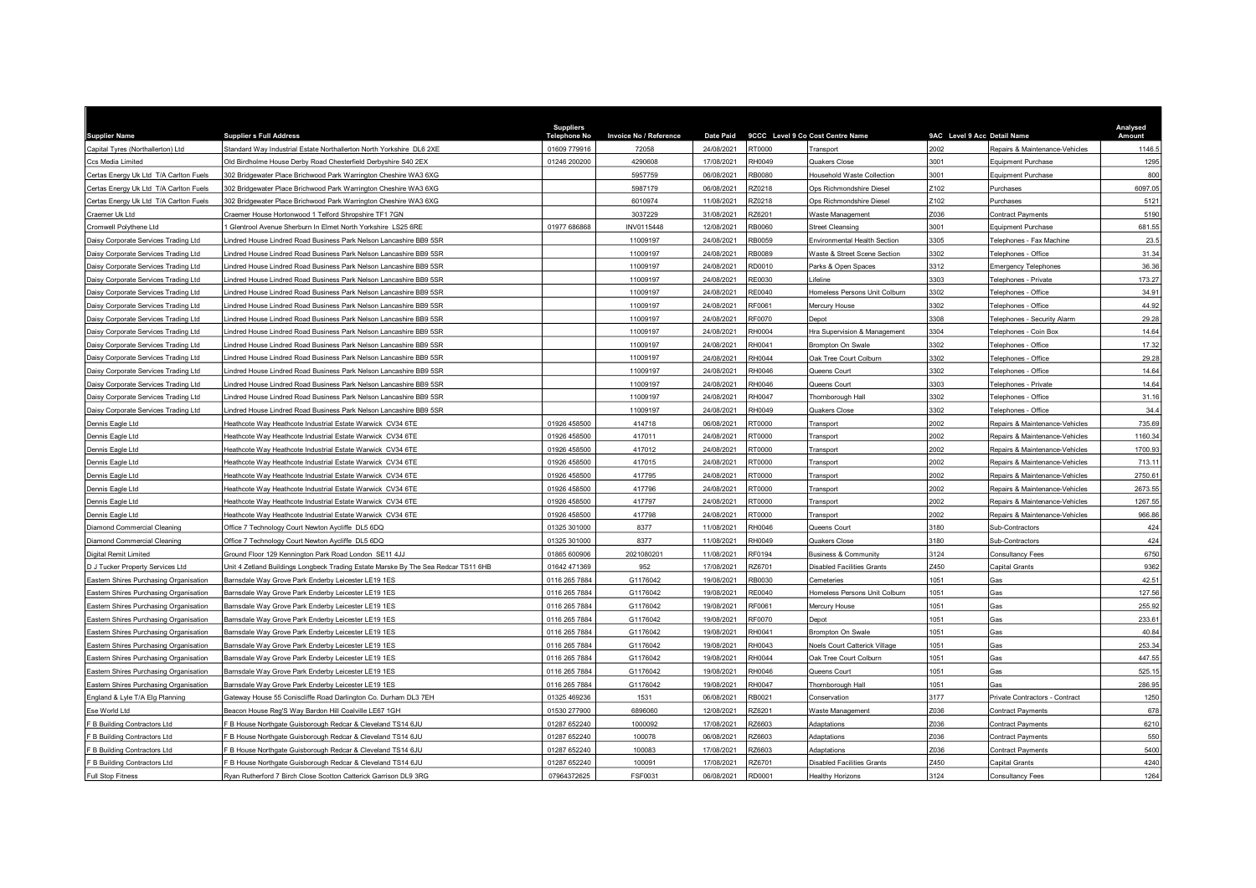| <b>Supplier Name</b>                   | <b>Supplier s Full Address</b>                                                     | <b>Suppliers</b><br>Telenhone No | Invoice No / Reference | <b>Date Paid</b> | 9CCC Level 9 Co Cost Centre Name |                                   | 9AC Level 9 Acc Detail Name |                                    | Analysed<br>Amount |
|----------------------------------------|------------------------------------------------------------------------------------|----------------------------------|------------------------|------------------|----------------------------------|-----------------------------------|-----------------------------|------------------------------------|--------------------|
| Capital Tyres (Northallerton) Ltd      | Standard Way Industrial Estate Northallerton North Yorkshire DL6 2XE               | 01609 779916                     | 72058                  | 24/08/2021       | 00007                            | Transport                         | 2002                        | Repairs & Maintenance-Vehicles     | 1146.              |
| Ccs Media Limited                      | Old Birdholme House Derby Road Chesterfield Derbyshire S40 2EX                     | 01246 200200                     | 4290608                | 17/08/2021       | H0049                            | Quakers Close                     | 3001                        | Equipment Purchase                 | 1295               |
| Certas Energy Uk Ltd T/A Carlton Fuels | 302 Bridgewater Place Brichwood Park Warrington Cheshire WA3 6XG                   |                                  | 5957759                | 06/08/2021       | <b>RB0080</b>                    | Household Waste Collection        | 3001                        | Equipment Purchase                 | 800                |
| Certas Energy Uk Ltd T/A Carlton Fuels | 302 Bridgewater Place Brichwood Park Warrington Cheshire WA3 6XG                   |                                  | 5987179                | 06/08/2021       | <b>220218</b>                    | Ops Richmondshire Diesel          | Z102                        | Purchases                          | 6097.05            |
| Certas Energy Uk Ltd T/A Carlton Fuels | 302 Bridgewater Place Brichwood Park Warrington Cheshire WA3 6XG                   |                                  | 6010974                | 11/08/2021       | Z0218                            | Ops Richmondshire Diesel          | Z102                        | Purchases                          | 5121               |
| Craemer Uk Ltd                         | Craemer House Hortonwood 1 Telford Shropshire TF1 7GN                              |                                  | 3037229                | 31/08/2021       | Z6201                            | Waste Management                  | Z036                        | Contract Payments                  | 5190               |
| Cromwell Polythene Ltd                 | Glentrool Avenue Sherburn In Elmet North Yorkshire LS25 6RE                        | 01977 686868                     | INV0115448             | 12/08/2021       | <b>B0060</b>                     | <b>Street Cleansing</b>           | 3001                        | Equipment Purchase                 | 681.5              |
| Daisy Corporate Services Trading Ltd   | indred House Lindred Road Business Park Nelson Lancashire BB9 5SR                  |                                  | 11009197               | 24/08/2021       | RB0059                           | Environmental Health Section      | 305                         | elephones - Fax Machine            | 23.5               |
| Daisy Corporate Services Trading Ltd   | indred House Lindred Road Business Park Nelson Lancashire BB9 5SR                  |                                  | 11009197               | 24/08/2021       | <b>B0089</b>                     | Waste & Street Scene Section      | 3302                        | elephones - Office                 | 31.34              |
| Daisy Corporate Services Trading Ltd   | indred House Lindred Road Business Park Nelson Lancashire BB9 5SR                  |                                  | 11009197               | 24/08/2021       | RD0010                           | Parks & Open Spaces               | 3312                        | Emergency Telephones               | 36.36              |
| Daisy Corporate Services Trading Ltd   | indred House Lindred Road Business Park Nelson Lancashire BB9 5SR                  |                                  | 11009197               | 24/08/2021       | RE0030                           | <i>ifeline</i>                    | 3303                        | Telephones - Private               | 173.27             |
| Daisy Corporate Services Trading Ltd   | indred House Lindred Road Business Park Nelson Lancashire BB9 5SR                  |                                  | 11009197               | 24/08/2021       | RE0040                           | Homeless Persons Unit Colburn     | 3302                        | elephones - Office                 | 34.91              |
| Daisy Corporate Services Trading Ltd   | indred House Lindred Road Business Park Nelson Lancashire BB9 5SR                  |                                  | 11009197               | 24/08/2021       | E0061                            | Mercury House                     | 3302                        | Telephones - Office                | 44.92              |
| Daisy Corporate Services Trading Ltd   | indred House Lindred Road Business Park Nelson Lancashire BB9 5SR                  |                                  | 11009197               | 24/08/2021       | RF0070                           | Depot                             | 3308                        | <b>Telephones - Security Alarm</b> | 29.28              |
| Daisy Corporate Services Trading Ltd   | indred House Lindred Road Business Park Nelson Lancashire BB9 5SR                  |                                  | 11009197               | 24/08/2021       | <b>H0004</b>                     | Hra Supervision & Management      | 3304                        | <b>Telephones - Coin Box</b>       | 14.64              |
| Daisy Corporate Services Trading Ltd   | indred House Lindred Road Business Park Nelson Lancashire BB9 5SR                  |                                  | 11009197               | 24/08/2021       | H0041                            | <b>Brompton On Swale</b>          | 3302                        | Telephones - Office                | 17.32              |
| Daisy Corporate Services Trading Ltd   | indred House Lindred Road Business Park Nelson Lancashire BB9 5SR                  |                                  | 11009197               | 24/08/2021       | RH0044                           | Oak Tree Court Colburn            | 3302                        | Felephones - Office                | 29.28              |
| Daisy Corporate Services Trading Ltd   | indred House Lindred Road Business Park Nelson Lancashire BB9 5SR                  |                                  | 11009197               | 24/08/2021       | RH0046                           | Queens Court                      | 3302                        | Telephones - Office                | 14.64              |
| Daisy Corporate Services Trading Ltd   | indred House Lindred Road Business Park Nelson Lancashire BB9 5SR                  |                                  | 11009197               | 24/08/2021       | RH0046                           | Queens Court                      | 3303                        | Felephones - Private               | 14.64              |
| Daisy Corporate Services Trading Ltd   | indred House Lindred Road Business Park Nelson Lancashire BB9 5SR                  |                                  | 11009197               | 24/08/2021       | H0047                            | Thornborough Hall                 | 3302                        | Telephones - Office                | 31.16              |
| Daisy Corporate Services Trading Ltd   | indred House Lindred Road Business Park Nelson Lancashire BB9 5SR                  |                                  | 11009197               | 24/08/2021       | RH0049                           | Quakers Close                     | 3302                        | Telephones - Office                | 34.4               |
| Dennis Eagle Ltd                       | Heathcote Way Heathcote Industrial Estate Warwick CV34 6TE                         | 01926 458500                     | 414718                 | 06/08/2021       | 0000T:                           | Transport                         | 2002                        | Repairs & Maintenance-Vehicles     | 735.69             |
| Dennis Eagle Ltd                       | Heathcote Way Heathcote Industrial Estate Warwick CV34 6TE                         | 01926 458500                     | 417011                 | 24/08/2021       | 00007                            | Transport                         | 2002                        | Repairs & Maintenance-Vehicles     | 1160.34            |
| Dennis Eagle Ltd                       | Heathcote Way Heathcote Industrial Estate Warwick CV34 6TE                         | 01926 458500                     | 417012                 | 24/08/2021       | 00007                            | <b>Transport</b>                  | 2002                        | Repairs & Maintenance-Vehicles     | 1700.93            |
| Dennis Eagle Ltd                       | Heathcote Way Heathcote Industrial Estate Warwick CV34 6TE                         | 01926 458500                     | 417015                 | 24/08/2021       | 00007                            | Transport                         | 2002                        | Repairs & Maintenance-Vehicles     | 713.1'             |
| Dennis Eagle Ltd                       | leathcote Way Heathcote Industrial Estate Warwick CV34 6TE                         | 01926 458500                     | 417795                 | 24/08/2021       | 00007                            | Transport                         | 2002                        | Repairs & Maintenance-Vehicles     | 2750.6             |
| Dennis Eagle Ltd                       | leathcote Way Heathcote Industrial Estate Warwick CV34 6TE                         | 01926 458500                     | 417796                 | 24/08/2021       | T0000                            | Transport                         | 2002                        | Repairs & Maintenance-Vehicles     | 2673.55            |
| Dennis Eagle Ltd                       | leathcote Way Heathcote Industrial Estate Warwick CV34 6TE                         | 01926 458500                     | 417797                 | 24/08/2021       | 0000T                            | ransport                          | 2002                        | Repairs & Maintenance-Vehicles     | 1267.55            |
| Dennis Eagle Ltd                       | Heathcote Way Heathcote Industrial Estate Warwick CV34 6TE                         | 01926 458500                     | 417798                 | 24/08/2021       | T0000                            | Transport                         | 2002                        | Repairs & Maintenance-Vehicles     | 966.86             |
| Diamond Commercial Cleaning            | Office 7 Technology Court Newton Aycliffe DL5 6DQ                                  | 01325 301000                     | 8377                   | 11/08/2021       | RH0046                           | Queens Court                      | 3180                        | Sub-Contractors                    | 424                |
| Diamond Commercial Cleaning            | Office 7 Technology Court Newton Aycliffe DL5 6DQ                                  | 01325 301000                     | 8377                   | 11/08/2021       | RH0049                           | Quakers Close                     | 3180                        | Sub-Contractors                    | 424                |
| Digital Remit Limited                  | Ground Floor 129 Kennington Park Road London SE11 4JJ                              | 01865 600906                     | 2021080201             | 11/08/2021       | RF0194                           | <b>Business &amp; Community</b>   | 3124                        | Consultancy Fees                   | 6750               |
| D J Tucker Property Services Ltd       | Jnit 4 Zetland Buildings Longbeck Trading Estate Marske By The Sea Redcar TS11 6HB | 01642 471369                     | 952                    | 17/08/2021       | <b>Z6701</b>                     | <b>Disabled Facilities Grants</b> | Z450                        | Capital Grants                     | 9362               |
| Eastern Shires Purchasing Organisation | Barnsdale Way Grove Park Enderby Leicester LE19 1ES                                | 0116 265 7884                    | G1176042               | 19/08/2021       | <b>B0030</b>                     | Cemeteries                        | 1051                        | Gas                                | 42.51              |
| Eastern Shires Purchasing Organisation | Barnsdale Way Grove Park Enderby Leicester LE19 1ES                                | 0116 265 7884                    | G1176042               | 19/08/2021       | E0040                            | Homeless Persons Unit Colburn     | 1051                        | Зas                                | 127.56             |
| Eastern Shires Purchasing Organisation | Barnsdale Way Grove Park Enderby Leicester LE19 1ES                                | 0116 265 7884                    | G1176042               | 19/08/2021       | RF0061                           | Mercury House                     | 1051                        | Зas                                | 255.92             |
| Eastern Shires Purchasing Organisation | Barnsdale Way Grove Park Enderby Leicester LE19 1ES                                | 0116 265 7884                    | G1176042               | 19/08/2021       | RF0070                           | Depot                             | 051                         | Эas                                | 233.6              |
| Eastern Shires Purchasing Organisation | Barnsdale Way Grove Park Enderby Leicester LE19 1ES                                | 0116 265 7884                    | G1176042               | 19/08/2021       | H0041                            | <b>Brompton On Swale</b>          | 1051                        | Gas                                | 40.84              |
| Eastern Shires Purchasing Organisation | Barnsdale Way Grove Park Enderby Leicester LE19 1ES                                | 0116 265 7884                    | G1176042               | 19/08/2021       | RH0043                           | Noels Court Catterick Village     | 1051                        | Gas                                | 253.34             |
| Eastern Shires Purchasing Organisation | Barnsdale Way Grove Park Enderby Leicester LE19 1ES                                | 0116 265 7884                    | G1176042               | 19/08/2021       | H0044                            | Oak Tree Court Colburr            | 1051                        | Gas                                | 447.55             |
| Eastern Shires Purchasing Organisation | Barnsdale Way Grove Park Enderby Leicester LE19 1ES                                | 0116 265 7884                    | G1176042               | 19/08/2021       | RH0046                           | Queens Court                      | 1051                        | Gas                                | 525.15             |
| Eastern Shires Purchasing Organisation | Barnsdale Way Grove Park Enderby Leicester LE19 1ES                                | 0116 265 7884                    | G1176042               | 19/08/2021       | RH0047                           | Thornborough Hall                 | 1051                        | Gas                                | 286.95             |
| England & Lyle T/A Elg Planning        | Gateway House 55 Coniscliffe Road Darlington Co. Durham DL3 7EH                    | 01325 469236                     | 1531                   | 06/08/2021       | RB0021                           | Conservation                      | 3177                        | Private Contractors - Contract     | 1250               |
| Ese World Ltd                          | Beacon House Reg'S Way Bardon Hill Coalville LE67 1GH                              | 01530 277900                     | 6896060                | 12/08/2021       | <b>Z6201</b>                     | Waste Management                  | Z036                        | Contract Payments                  | 678                |
| F B Building Contractors Ltd           | B House Northgate Guisborough Redcar & Cleveland TS14 6JU                          | 01287 652240                     | 1000092                | 17/08/2021       | <b>Z6603</b>                     | Adaptations                       | 2036                        | Contract Payments                  | 6210               |
| B Building Contractors Ltd             | B House Northgate Guisborough Redcar & Cleveland TS14 6JU                          | 01287 652240                     | 100078                 | 06/08/2021       | <b>Z6603</b>                     | Adaptations                       | 2036                        | Contract Payments                  | 550                |
| F B Building Contractors Ltd           | B House Northgate Guisborough Redcar & Cleveland TS14 6JU                          | 01287 652240                     | 100083                 | 17/08/2021       | Z6603                            | Adaptations                       | Z036                        | <b>Contract Payments</b>           | 5400               |
| B Building Contractors Ltd             | B House Northgate Guisborough Redcar & Cleveland TS14 6JU                          | 01287 652240                     | 100091                 | 17/08/2021       | <b>Z6701</b>                     | Disabled Facilities Grants        | Z450                        | Capital Grants                     | 4240               |
| <b>Full Stop Fitness</b>               | Rvan Rutherford 7 Birch Close Scotton Catterick Garrison DL9 3RG                   | 07964372625                      | FSF0031                | 06/08/2021       | RD0001                           | <b>Healthy Horizons</b>           | 3124                        | <b>Consultancy Fees</b>            | 1264               |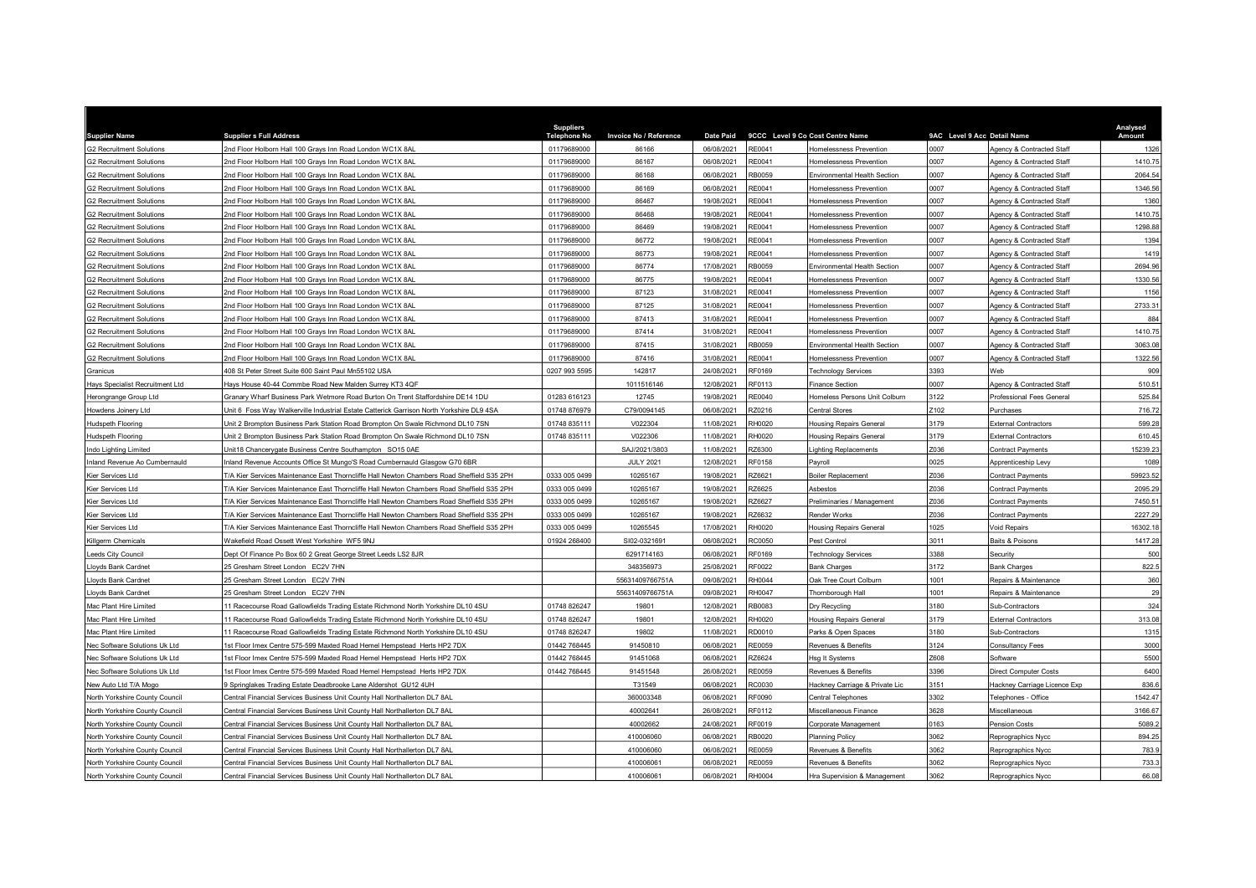| <b>Supplier Name</b>                                                           | <b>Supplier s Full Address</b>                                                             | <b>Suppliers</b><br><b>Telephone No</b> |                                        | <b>Date Paid</b>         |                  | 9CCC Level 9 Co Cost Centre Name              | 9AC Level 9 Acc Detail Name |                              | Analysed<br>Amount |
|--------------------------------------------------------------------------------|--------------------------------------------------------------------------------------------|-----------------------------------------|----------------------------------------|--------------------------|------------------|-----------------------------------------------|-----------------------------|------------------------------|--------------------|
| G2 Recruitment Solutions                                                       | 2nd Floor Holborn Hall 100 Grays Inn Road London WC1X 8AL                                  | 01179689000                             | <b>Invoice No / Reference</b><br>86166 | 06/08/2021               | RE0041           | Iomelessness Prevention                       | 0007                        | Agency & Contracted Staff    | 1326               |
|                                                                                |                                                                                            |                                         | 86167                                  |                          |                  |                                               | 0007                        |                              | 1410.75            |
| G2 Recruitment Solutions                                                       | 2nd Floor Holborn Hall 100 Grays Inn Road London WC1X 8AL                                  | 01179689000                             |                                        | 06/08/2021<br>06/08/2021 | RE0041<br>RB0059 | Iomelessness Prevention                       | 0007                        | Agency & Contracted Staff    |                    |
| 32 Recruitment Solutions                                                       | 2nd Floor Holborn Hall 100 Grays Inn Road London WC1X 8AL                                  | 01179689000                             | 86168                                  |                          |                  | Environmental Health Section                  |                             | Agency & Contracted Staff    | 2064.54            |
| <b>32 Recruitment Solutions</b>                                                | 2nd Floor Holborn Hall 100 Grays Inn Road London WC1X 8AL                                  | 01179689000                             | 86169                                  | 06/08/2021               | RE0041           | <b>Homelessness Prevention</b>                | 0007                        | Agency & Contracted Staff    | 1346.56            |
| <b>32 Recruitment Solutions</b>                                                | 2nd Floor Holborn Hall 100 Grays Inn Road London WC1X 8AL                                  | 01179689000                             | 86467                                  | 19/08/2021               | RE0041           | <b>Homelessness Prevention</b>                | 0007                        | Agency & Contracted Staff    | 1360               |
| <b>32 Recruitment Solutions</b>                                                | 2nd Floor Holborn Hall 100 Grays Inn Road London WC1X 8AL                                  | 01179689000                             | 86468                                  | 19/08/2021               | RE0041           | <b>Homelessness Prevention</b>                | 0007                        | Agency & Contracted Staff    | 1410.75            |
| <b>32 Recruitment Solutions</b>                                                | 2nd Floor Holborn Hall 100 Grays Inn Road London WC1X 8AL                                  | 01179689000                             | 86469                                  | 19/08/2021               | RE0041           | Homelessness Preventior                       | 0007                        | Agency & Contracted Staff    | 1298.88            |
| 32 Recruitment Solutions                                                       | 2nd Floor Holborn Hall 100 Gravs Inn Road London WC1X 8AL                                  | 01179689000                             | 86772                                  | 19/08/2021               | RE0041           | Homelessness Prevention                       | 0007                        | Agency & Contracted Staff    | 1394               |
| 32 Recruitment Solutions                                                       | 2nd Floor Holborn Hall 100 Grays Inn Road London WC1X 8AL                                  | 01179689000                             | 86773                                  | 19/08/2021               | RE0041           | <b>Homelessness Prevention</b>                | 0007                        | Agency & Contracted Staff    | 1419               |
| 32 Recruitment Solutions                                                       | 2nd Floor Holborn Hall 100 Grays Inn Road London WC1X 8AL                                  | 01179689000                             | 86774                                  | 17/08/2021               | RB0059           | Environmental Health Section                  | 0007                        | Agency & Contracted Staff    | 2694.96            |
| 32 Recruitment Solutions                                                       | 2nd Floor Holborn Hall 100 Grays Inn Road London WC1X 8AL                                  | 01179689000                             | 86775                                  | 19/08/2021               | RE0041           | <b>Homelessness Prevention</b>                | 0007                        | Agency & Contracted Staff    | 1330.56            |
| 32 Recruitment Solutions                                                       | 2nd Floor Holborn Hall 100 Grays Inn Road London WC1X 8AL                                  | 01179689000                             | 87123                                  | 31/08/2021               | RE0041           | Homelessness Prevention                       | 0007                        | Agency & Contracted Staff    | 1156               |
| 32 Recruitment Solutions                                                       | 2nd Floor Holborn Hall 100 Grays Inn Road London WC1X 8AL                                  | 01179689000                             | 87125                                  | 31/08/2021               | RE0041           | <b>Homelessness Prevention</b>                | 0007                        | Agency & Contracted Staff    | 2733.31            |
| <b>32 Recruitment Solutions</b>                                                | 2nd Floor Holborn Hall 100 Grays Inn Road London WC1X 8AL                                  | 01179689000                             | 87413                                  | 31/08/2021               | RE0041           | Homelessness Prevention                       | 0007                        | Agency & Contracted Staff    | 884                |
| 32 Recruitment Solutions                                                       | 2nd Floor Holborn Hall 100 Grays Inn Road London WC1X 8AL                                  | 01179689000                             | 87414                                  | 31/08/2021               | RE0041           | Homelessness Prevention                       | 0007                        | Agency & Contracted Staff    | 1410.75            |
| 32 Recruitment Solutions                                                       | 2nd Floor Holborn Hall 100 Grays Inn Road London WC1X 8AL                                  | 01179689000                             | 87415                                  | 31/08/2021               | RB0059           | Environmental Health Section                  | 0007                        | Agency & Contracted Staff    | 3063.08            |
| <b>G2 Recruitment Solutions</b>                                                | 2nd Floor Holborn Hall 100 Grays Inn Road London WC1X 8AL                                  | 01179689000                             | 87416                                  | 31/08/2021               | RE0041           | Homelessness Prevention                       | 0007                        | Agency & Contracted Staff    | 1322.56            |
| <b>Granicus</b>                                                                | 108 St Peter Street Suite 600 Saint Paul Mn55102 USA                                       | 0207 993 5595                           | 142817                                 | 24/08/2021               | RF0169           | echnology Services                            | 3393                        | <b>Neh</b>                   |                    |
| lays Specialist Recruitment Ltd                                                | Hays House 40-44 Commbe Road New Malden Surrey KT3 4QF                                     |                                         | 1011516146                             | 12/08/2021               | RF0113           | Finance Section                               | 0007                        | Agency & Contracted Staff    | 510.51             |
| lerongrange Group Ltd                                                          | Granary Wharf Business Park Wetmore Road Burton On Trent Staffordshire DE14 1DU            | 01283 616123                            | 12745                                  | 19/08/2021               | <b>RE0040</b>    | Iomeless Persons Unit Colburn                 | 3122                        | Professional Fees General    | 525.84             |
| lowdens Joinery Ltd                                                            | Unit 6 Foss Way Walkerville Industrial Estate Catterick Garrison North Yorkshire DL9 4SA   | 01748 876979                            | C79/0094145                            | 06/08/2021               | RZ0216           | Central Stores                                | Z102                        | Purchases                    | 716.72             |
| ludspeth Flooring                                                              | Unit 2 Brompton Business Park Station Road Brompton On Swale Richmond DL10 7SN             | 01748 835111                            | V022304                                | 11/08/2021               | RH0020           | <b>Housing Repairs General</b>                | 3179                        | <b>External Contractors</b>  | 599.28             |
| ludspeth Flooring                                                              | Unit 2 Brompton Business Park Station Road Brompton On Swale Richmond DL10 7SN             | 01748 835111                            | V022306                                | 11/08/2021               | RH0020           | <b>Housing Repairs General</b>                | 3179                        | <b>External Contractors</b>  | 610.45             |
| ndo Lighting Limited                                                           | Unit18 Chancerygate Business Centre Southampton SO15 0AE                                   |                                         | SAJ/2021/3803                          | 11/08/2021               | RZ6300           | ighting Replacements                          | Z036                        | Contract Payments            | 15239.23           |
| nland Revenue Ao Cumbernauld                                                   | nland Revenue Accounts Office St Mungo'S Road Cumbernauld Glasgow G70 6BR                  |                                         | <b>JULY 2021</b>                       | 12/08/2021               | RF0158           | Payroll                                       | 0025                        | Apprenticeship Levy          | 1089               |
| Ger Services Ltd                                                               | /A Kier Services Maintenance East Thorncliffe Hall Newton Chambers Road Sheffield S35 2PH  | 0333 005 0499                           | 10265167                               | 19/08/2021               | RZ6621           | Boiler Replacement                            | 2036                        | Contract Payments            | 59923.52           |
| lier Services Ltd                                                              | T/A Kier Services Maintenance East Thorncliffe Hall Newton Chambers Road Sheffield S35 2PH | 0333 005 0499                           | 10265167                               | 19/08/2021               | RZ6625           | Asbestos                                      | Z036                        | Contract Payments            | 2095.29            |
| Ger Services Ltd                                                               | T/A Kier Services Maintenance East Thorncliffe Hall Newton Chambers Road Sheffield S35 2PH | 0333 005 0499                           | 10265167                               | 19/08/2021               | RZ6627           | Preliminaries / Management                    | Z036                        | Contract Payments            | 7450.51            |
| Ger Services Ltd                                                               | T/A Kier Services Maintenance East Thorncliffe Hall Newton Chambers Road Sheffield S35 2PH | 0333 005 0499                           | 10265167                               | 19/08/2021               | RZ6632           | Render Works                                  | Z036                        | Contract Payments            | 2227.29            |
| <b>Kier Services Ltd</b>                                                       | /A Kier Services Maintenance East Thorncliffe Hall Newton Chambers Road Sheffield S35 2PH  | 0333 005 0499                           | 10265545                               | 17/08/2021               | RH0020           | <b>Housing Repairs General</b>                | 1025                        | Void Repairs                 | 16302.18           |
| Killgerm Chemicals                                                             | Wakefield Road Ossett West Yorkshire WF5 9NJ                                               | 01924 268400                            | SI02-0321691                           | 06/08/2021               | RC0050           | Pest Control                                  | 3011                        | Baits & Poisons              | 1417.28            |
| eeds City Council                                                              | Dept Of Finance Po Box 60 2 Great George Street Leeds LS2 8JR                              |                                         | 6291714163                             | 06/08/2021               | RF0169           | <b>Technology Services</b>                    | 388                         | Security                     |                    |
| <b>Loyds Bank Cardnet</b>                                                      | 25 Gresham Street London EC2V 7HN                                                          |                                         | 348356973                              | 25/08/2021               | RF0022           | Bank Charges                                  | 3172                        | <b>Bank Charges</b>          | 822.5              |
| loyds Bank Cardnet                                                             | 25 Gresham Street London EC2V 7HN                                                          |                                         | 55631409766751A                        | 09/08/2021               | RH0044           | Oak Tree Court Colburn                        | 1001                        | Repairs & Maintenance        |                    |
| <b>Loyds Bank Cardnet</b>                                                      | 25 Gresham Street London EC2V 7HN                                                          |                                         | 55631409766751A                        | 09/08/2021               | RH0047           | Thornborough Hall                             | 1001                        | Repairs & Maintenance        |                    |
| Mac Plant Hire Limited                                                         | 11 Racecourse Road Gallowfields Trading Estate Richmond North Yorkshire DL10 4SU           | 01748 826247                            | 19801                                  | 12/08/2021               | RB0083           | Dry Recycling                                 | 3180                        | Sub-Contractors              | 324                |
| Mac Plant Hire I imited                                                        | 1 Racecourse Road Gallowfields Trading Estate Richmond North Yorkshire DL10 4SU            | 01748 826247                            | 19801                                  | 12/08/2021               | RH0020           | <b>Housing Repairs General</b>                | 3179                        | <b>External Contractors</b>  | 313.08             |
| Mac Plant Hire Limited                                                         | 1 Racecourse Road Gallowfields Trading Estate Richmond North Yorkshire DL10 4SU            | 01748 826247                            | 19802                                  | 11/08/2021               | RD0010           | Parks & Open Spaces                           | 3180                        | Sub-Contractors              | 1315               |
| lec Software Solutions Uk Ltd                                                  | st Floor Imex Centre 575-599 Maxted Road Hemel Hempstead Herts HP2 7DX                     | 01442 768445                            | 91450810                               | 06/08/2021               | <b>RE0059</b>    | Revenues & Benefits                           | 3124                        | Consultancy Fees             | 3000               |
| lec Software Solutions Uk Ltd                                                  | st Floor Imex Centre 575-599 Maxted Road Hemel Hempstead Herts HP2 7DX                     | 01442 768445                            | 91451068                               | 06/08/2021               | RZ6624           | Isg It Systems                                | Z608                        | Software                     | 5500               |
| lec Software Solutions Uk Ltd                                                  | st Floor Imex Centre 575-599 Maxted Road Hemel Hempstead Herts HP2 7DX                     | 01442 768445                            | 91451548                               | 26/08/2021               | <b>RE0059</b>    | Revenues & Benefits                           | 3396                        | Direct Computer Costs        | 6400               |
| lew Auto Ltd T/A Mogo                                                          | 9 Springlakes Trading Estate Deadbrooke Lane Aldershot GU12 4UH                            |                                         | T31549                                 | 06/08/2021               | RC0030           | Hackney Carriage & Private Lic                | 3151                        | Hackney Carriage Licence Exp | 836.6              |
| North Yorkshire County Council                                                 | Central Financial Services Business Unit County Hall Northallerton DL7 8AL                 |                                         | 360003348                              | 06/08/2021               | RF0090           | Central Telephones                            | 3302                        | Felephones - Office          | 1542.47            |
| North Yorkshire County Council                                                 | Central Financial Services Business Unit County Hall Northallerton DL7 8AL                 |                                         | 40002641                               | 26/08/2021               | RF0112           | Miscellaneous Finance                         | 3628                        | discellaneous                | 3166.67            |
|                                                                                |                                                                                            |                                         |                                        |                          |                  |                                               | 0163                        |                              |                    |
| North Yorkshire County Council                                                 | Central Financial Services Business Unit County Hall Northallerton DL7 8AL                 |                                         | 40002662                               | 24/08/2021               | RF0019           | Corporate Management                          | 3062                        | Pension Costs                | 5089.2             |
| <b>Jorth Yorkshire County Council</b><br><b>North Yorkshire County Council</b> | Central Financial Services Business Unit County Hall Northallerton DL7 8AL                 |                                         | 410006060<br>410006060                 | 06/08/2021               | RB0020<br>RE0059 | <b>Planning Policy</b><br>Revenues & Benefits | 3062                        | Reprographics Nycc           | 894.25             |
|                                                                                | entral Financial Services Business Unit County Hall Northallerton DL7 8AL                  |                                         |                                        | 06/08/2021               |                  |                                               |                             | Reprographics Nycc           | 783.9              |
| North Yorkshire County Council                                                 | Central Financial Services Business Unit County Hall Northallerton DL7 8AL                 |                                         | 410006061                              | 06/08/2021               | <b>RE0059</b>    | Revenues & Benefits                           | 3062                        | Reprographics Nycc           | 733.3              |
| North Yorkshire County Council                                                 | Central Financial Services Business Unit County Hall Northallerton DL7 8AL                 |                                         | 410006061                              | 06/08/2021               | RH0004           | Hra Supervision & Management                  | 3062                        | Reprographics Nycc           | 66.08              |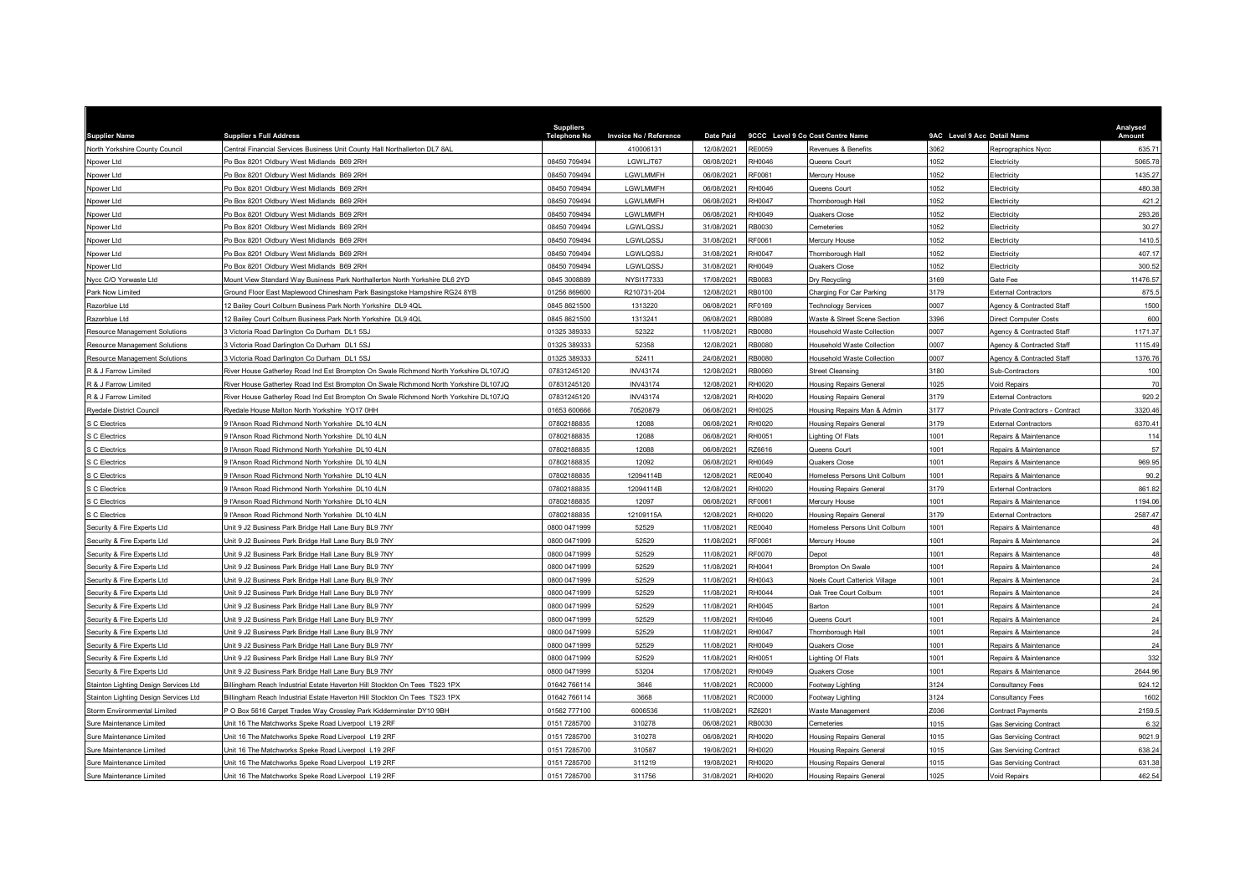| <b>Supplier Name</b>                  | <b>Supplier s Full Address</b>                                                        | <b>Suppliers</b><br><b>Telephone No</b> | Invoice No / Reference | <b>Date Paid</b> | 9CCC Level 9 Co Cost Centre Name |                                | 9AC Level 9 Acc Detail Name |                                | Analysed<br>Amount |
|---------------------------------------|---------------------------------------------------------------------------------------|-----------------------------------------|------------------------|------------------|----------------------------------|--------------------------------|-----------------------------|--------------------------------|--------------------|
| North Yorkshire County Council        | Central Financial Services Business Unit County Hall Northallerton DL7 8AL            |                                         | 410006131              | 12/08/2021       | RE0059                           | Revenues & Benefits            | 3062                        | Reprographics Nycc             | 635.71             |
| Npower Ltd                            | Po Box 8201 Oldbury West Midlands B69 2RH                                             | 08450 709494                            | LGWLJT67               | 06/08/2021       | RH0046                           | Queens Court                   | 1052                        | Electricity                    | 5065.78            |
| Npower Ltd                            | Po Box 8201 Oldbury West Midlands B69 2RH                                             | 08450 709494                            | LGWLMMFH               | 06/08/2021       | RF0061                           | Mercury House                  | 052                         | Electricity                    | 1435.27            |
| Npower Ltd                            | O Box 8201 Oldbury West Midlands B69 2RH                                              | 08450 709494                            | LGWLMMFH               | 06/08/2021       | 8H0046                           | Queens Court                   | 052                         | Electricity                    | 480.38             |
| Npower Ltd                            | Po Box 8201 Oldbury West Midlands B69 2RH                                             | 08450 709494                            | LGWLMMFH               | 06/08/2021       | RH0047                           | Thornborough Hall              | 052                         | Electricity                    | 421.2              |
| Npower Ltd                            | Po Box 8201 Oldbury West Midlands B69 2RH                                             | 08450 709494                            | LGWLMMFH               | 06/08/2021       | RH0049                           | Quakers Close                  | 052                         | Electricity                    | 293.26             |
| Npower Ltd                            | Po Box 8201 Oldbury West Midlands B69 2RH                                             | 08450 709494                            | LGWLQSSJ               | 31/08/2021       | <b>B0030</b>                     | Cemeteries                     | 052                         | Electricity                    | 30.27              |
| Npower Ltd                            | Po Box 8201 Oldbury West Midlands B69 2RH                                             | 08450 709494                            | LGWLQSSJ               | 31/08/2021       | RF0061                           | Mercury House                  | 052                         | Electricity                    | 1410.5             |
| Npower Ltd                            | Po Box 8201 Oldbury West Midlands B69 2RH                                             | 08450 709494                            | LGWLQSSJ               | 31/08/2021       | RH0047                           | Thornborough Hall              | 1052                        | Electricity                    | 407.17             |
| Npower Ltd                            | Po Box 8201 Oldbury West Midlands B69 2RH                                             | 08450 709494                            | LGWLQSSJ               | 31/08/2021       | RH0049                           | Quakers Close                  | 052                         | Electricity                    | 300.52             |
| Nycc C/O Yorwaste Ltd                 | Mount View Standard Way Business Park Northallerton North Yorkshire DL6 2YD           | 0845 3008889                            | NYSI177333             | 17/08/2021       | RB0083                           | Dry Recycling                  | 3169                        | Gate Fee                       | 11476.57           |
| Park Now Limited                      | Ground Floor East Maplewood Chinesham Park Basingstoke Hampshire RG24 8YB             | 01256 869600                            | R210731-204            | 12/08/2021       | <b>B0100</b>                     | Charging For Car Parking       | 3179                        | <b>External Contractors</b>    | 875.5              |
| Razorblue Ltd                         | 2 Bailey Court Colburn Business Park North Yorkshire DL9 4QL                          | 0845 8621500                            | 1313220                | 06/08/2021       | RF0169                           | <b>Technology Services</b>     | 0007                        | Agency & Contracted Staff      | 1500               |
| Razorblue Ltd                         | 2 Bailey Court Colburn Business Park North Yorkshire DL9 4QL                          | 0845 8621500                            | 1313241                | 06/08/2021       | RB0089                           | Waste & Street Scene Section   | 3396                        | <b>Direct Computer Costs</b>   | 600                |
| <b>Resource Management Solutions</b>  | Victoria Road Darlington Co Durham DL1 5SJ                                            | 01325 389333                            | 52322                  | 11/08/2021       | <b>B0080</b>                     | lousehold Waste Collection     | 0007                        | Agency & Contracted Staff      | 1171.37            |
| Resource Management Solutions         | Victoria Road Darlington Co Durham DL1 5SJ                                            | 01325 389333                            | 52358                  | 12/08/2021       | RB0080                           | Household Waste Collection     | 0007                        | Agency & Contracted Staff      | 1115.49            |
| Resource Management Solutions         | Victoria Road Darlington Co Durham DL1 5SJ                                            | 01325 389333                            | 52411                  | 24/08/2021       | <b>RB0080</b>                    | lousehold Waste Collection     | 0007                        | Agency & Contracted Staff      | 1376.76            |
| R & J Farrow Limited                  | River House Gatherley Road Ind Est Brompton On Swale Richmond North Yorkshire DL107JQ | 07831245120                             | <b>INV43174</b>        | 12/08/2021       | <b>B0060</b>                     | Street Cleansing               | 3180                        | Sub-Contractors                | 100                |
| R & J Farrow Limited                  | River House Gatherley Road Ind Est Brompton On Swale Richmond North Yorkshire DL107JQ | 07831245120                             | <b>INV43174</b>        | 12/08/2021       | H0020                            | <b>Iousing Repairs General</b> | 025                         | Void Repairs                   | 70                 |
| R & J Farrow Limited                  | River House Gatherley Road Ind Est Brompton On Swale Richmond North Yorkshire DL107JQ | 07831245120                             | <b>INV43174</b>        | 12/08/2021       | RH0020                           | <b>Housing Repairs General</b> | 3179                        | <b>External Contractors</b>    | 920.2              |
| <b>Ryedale District Council</b>       | Ryedale House Malton North Yorkshire YO17 0HH                                         | 01653 600666                            | 70520879               | 06/08/2021       | H0025                            | lousing Repairs Man & Admin    | 3177                        | Private Contractors - Contract | 3320.46            |
| S C Electrics                         | I'Anson Road Richmond North Yorkshire DL10 4LN                                        | 07802188835                             | 12088                  | 06/08/2021       | H0020                            | <b>Housing Repairs General</b> | 3179                        | <b>External Contractors</b>    | 6370.41            |
| S C Electrics                         | I'Anson Road Richmond North Yorkshire DL10 4LN                                        | 07802188835                             | 12088                  | 06/08/2021       | RH0051                           | ighting Of Flats               | 1001                        | Repairs & Maintenance          | 114                |
| C Electrics                           | l'Anson Road Richmond North Yorkshire DL10 4LN                                        | 07802188835                             | 12088                  | 06/08/2021       | <b>Z6616</b>                     | Queens Court                   | 1001                        | Repairs & Maintenance          | 57                 |
| S C Electrics                         | l'Anson Road Richmond North Yorkshire DL10 4LN                                        | 07802188835                             | 12092                  | 06/08/2021       | RH0049                           | Quakers Close                  | 001                         | Repairs & Maintenance          | 969.95             |
| C Electrics                           | l'Anson Road Richmond North Yorkshire DL10 4LN                                        | 07802188835                             | 12094114B              | 12/08/2021       | RE0040                           | Iomeless Persons Unit Colburn  | 001                         | Repairs & Maintenance          | 90.2               |
| C Electrics                           | ll'Anson Road Richmond North Yorkshire DL10 4LN                                       | 07802188835                             | 12094114B              | 12/08/2021       | H0020                            | <b>Housing Repairs General</b> | 3179                        | <b>External Contractors</b>    | 861.82             |
| S C Electrics                         | I'Anson Road Richmond North Yorkshire DL10 4LN                                        | 07802188835                             | 12097                  | 06/08/2021       | RF0061                           | Mercury House                  | 1001                        | Repairs & Maintenance          | 1194.06            |
| S C Electrics                         | I'Anson Road Richmond North Yorkshire DL10 4LN                                        | 07802188835                             | 12109115A              | 12/08/2021       | H0020                            | <b>Housing Repairs General</b> | 3179                        | <b>External Contractors</b>    | 2587.47            |
| Security & Fire Experts Ltd           | Jnit 9 J2 Business Park Bridge Hall Lane Bury BL9 7NY                                 | 0800 0471999                            | 52529                  | 11/08/2021       | RE0040                           | Homeless Persons Unit Colburn  | 001                         | Repairs & Maintenance          | 48                 |
| Security & Fire Experts Ltd           | Jnit 9 J2 Business Park Bridge Hall Lane Bury BL9 7NY                                 | 0800 0471999                            | 52529                  | 11/08/2021       | RF0061                           | Mercury House                  | 1001                        | Repairs & Maintenance          | 24                 |
| Security & Fire Experts Ltd           | Jnit 9 J2 Business Park Bridge Hall Lane Bury BL9 7NY                                 | 0800 0471999                            | 52529                  | 11/08/2021       | RF0070                           | Depot                          | 001                         | Repairs & Maintenance          | 48                 |
| Security & Fire Experts Ltd           | Jnit 9 J2 Business Park Bridge Hall Lane Bury BL9 7NY                                 | 0800 0471999                            | 52529                  | 11/08/2021       | RH0041                           | Brompton On Swale              | 1001                        | Repairs & Maintenance          | 24                 |
| Security & Fire Experts Ltd           | Jnit 9 J2 Business Park Bridge Hall Lane Bury BL9 7NY                                 | 0800 0471999                            | 52529                  | 11/08/2021       | RH0043                           | Noels Court Catterick Village  | 1001                        | Repairs & Maintenance          | 24                 |
| Security & Fire Experts Ltd           | Jnit 9 J2 Business Park Bridge Hall Lane Bury BL9 7NY                                 | 0800 0471999                            | 52529                  | 11/08/2021       | H0044                            | Oak Tree Court Colburn         | 001                         | Repairs & Maintenance          | 24                 |
| Security & Fire Experts Ltd           | Jnit 9 J2 Business Park Bridge Hall Lane Bury BL9 7NY                                 | 0800 0471999                            | 52529                  | 11/08/2021       | H0045                            | Barton                         | 001                         | Repairs & Maintenance          | 24                 |
| Security & Fire Experts Ltd           | Jnit 9 J2 Business Park Bridge Hall Lane Bury BL9 7NY                                 | 0800 0471999                            | 52529                  | 11/08/2021       | RH0046                           | Queens Court                   | 001                         | Repairs & Maintenance          | 24                 |
| Security & Fire Experts Ltd           | Jnit 9 J2 Business Park Bridge Hall Lane Bury BL9 7NY                                 | 0800 0471999                            | 52529                  | 11/08/2021       | H0047                            | Thornborough Hall              | 1001                        | Repairs & Maintenance          | 24                 |
| Security & Fire Experts Ltd           | Jnit 9 J2 Business Park Bridge Hall Lane Bury BL9 7NY                                 | 0800 0471999                            | 52529                  | 11/08/2021       | RH0049                           | Quakers Close                  | 1001                        | Repairs & Maintenance          | 24                 |
| Security & Fire Experts Ltd           | Jnit 9 J2 Business Park Bridge Hall Lane Bury BL9 7NY                                 | 0800 0471999                            | 52529                  | 11/08/2021       | H0051                            | ighting Of Flats               | 1001                        | Repairs & Maintenance          | 332                |
| Security & Fire Experts Ltd           | Jnit 9 J2 Business Park Bridge Hall Lane Bury BL9 7NY                                 | 0800 0471999                            | 53204                  | 17/08/2021       | RH0049                           | Quakers Close                  | 001                         | Repairs & Maintenance          | 2644.96            |
| Stainton Lighting Design Services Ltd | Billingham Reach Industrial Estate Haverton Hill Stockton On Tees TS23 1PX            | 01642 766114                            | 3646                   | 11/08/2021       | <b>C0000</b>                     | Footway Lighting               | 3124                        | Consultancy Fees               | 924.12             |
| Stainton Lighting Design Services Ltd | Billingham Reach Industrial Estate Haverton Hill Stockton On Tees TS23 1PX            | 01642 766114                            | 3668                   | 11/08/2021       | <b>CO000</b>                     | Footway Lighting               | 3124                        | Consultancy Fees               | 1602               |
| Storm Enviironmental Limited          | O Box 5616 Carpet Trades Way Crossley Park Kidderminster DY10 9BH                     | 01562 777100                            | 6006536                | 11/08/2021       | Z6201                            | Waste Management               | Z036                        | Contract Payments              | 2159.5             |
| Sure Maintenance Limited              | Init 16 The Matchworks Speke Road Liverpool L19 2RF                                   | 0151 7285700                            | 310278                 | 06/08/2021       | <b>B0030</b>                     | emeteries                      | 015                         | <b>Gas Servicing Contract</b>  | 6.32               |
| Sure Maintenance Limited              | Jnit 16 The Matchworks Speke Road Liverpool L19 2RF                                   | 0151 7285700                            | 310278                 | 06/08/2021       | RH0020                           | lousing Repairs General        | 1015                        | <b>Gas Servicing Contract</b>  | 9021.9             |
| Sure Maintenance Limited              | Jnit 16 The Matchworks Speke Road Liverpool L19 2RF                                   | 0151 7285700                            | 310587                 | 19/08/2021       | RH0020                           | <b>Housing Repairs General</b> | 1015                        | <b>Gas Servicing Contract</b>  | 638.24             |
| Sure Maintenance Limited              | Jnit 16 The Matchworks Speke Road Liverpool L19 2RF                                   | 0151 7285700                            | 311219                 | 19/08/2021       | H0020                            | lousing Repairs General        | 015                         | <b>Gas Servicing Contract</b>  | 631.38             |
| Sure Maintenance Limited              | Unit 16 The Matchworks Speke Road Liverpool L19 2RF                                   | 0151 7285700                            | 311756                 | 31/08/2021       | RH0020                           | <b>Housing Repairs General</b> | 1025                        | Void Repairs                   | 462.54             |